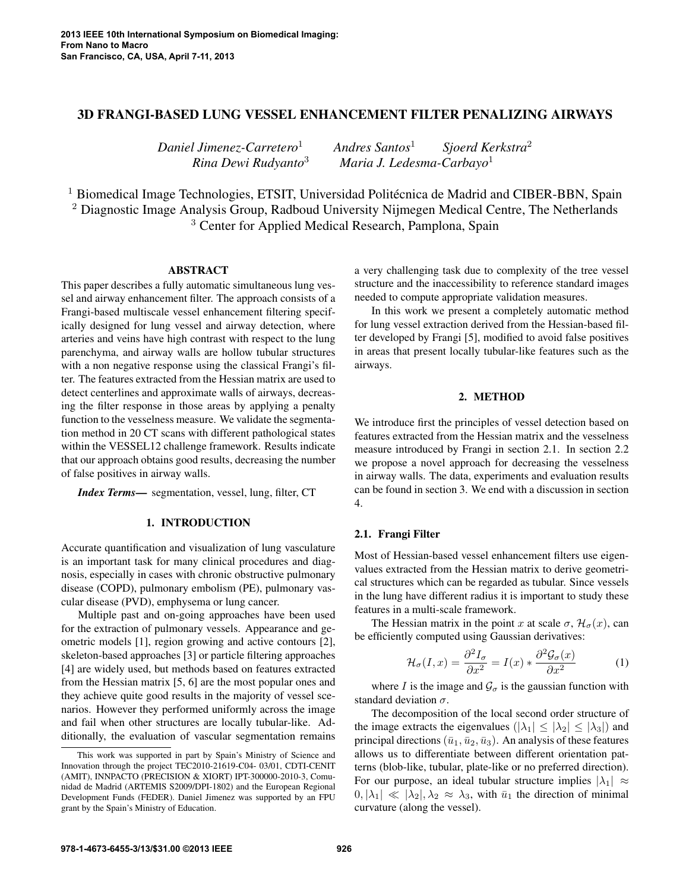## 3D FRANGI-BASED LUNG VESSEL ENHANCEMENT FILTER PENALIZING AIRWAYS

*Daniel Jimenez-Carretero*<sup>1</sup> *Andres Santos*<sup>1</sup> *Sjoerd Kerkstra*<sup>2</sup> *Rina Dewi Rudyanto*<sup>3</sup> *Maria J. Ledesma-Carbayo*<sup>1</sup>

<sup>1</sup> Biomedical Image Technologies, ETSIT, Universidad Politécnica de Madrid and CIBER-BBN, Spain <sup>2</sup> Diagnostic Image Analysis Group, Radboud University Nijmegen Medical Centre, The Netherlands <sup>3</sup> Center for Applied Medical Research, Pamplona, Spain

## ABSTRACT

This paper describes a fully automatic simultaneous lung vessel and airway enhancement filter. The approach consists of a Frangi-based multiscale vessel enhancement filtering specifically designed for lung vessel and airway detection, where arteries and veins have high contrast with respect to the lung parenchyma, and airway walls are hollow tubular structures with a non negative response using the classical Frangi's filter. The features extracted from the Hessian matrix are used to detect centerlines and approximate walls of airways, decreasing the filter response in those areas by applying a penalty function to the vesselness measure. We validate the segmentation method in 20 CT scans with different pathological states within the VESSEL12 challenge framework. Results indicate that our approach obtains good results, decreasing the number of false positives in airway walls.

*Index Terms*— segmentation, vessel, lung, filter, CT

## 1. INTRODUCTION

Accurate quantification and visualization of lung vasculature is an important task for many clinical procedures and diagnosis, especially in cases with chronic obstructive pulmonary disease (COPD), pulmonary embolism (PE), pulmonary vascular disease (PVD), emphysema or lung cancer.

Multiple past and on-going approaches have been used for the extraction of pulmonary vessels. Appearance and geometric models [1], region growing and active contours [2], skeleton-based approaches [3] or particle filtering approaches [4] are widely used, but methods based on features extracted from the Hessian matrix [5, 6] are the most popular ones and they achieve quite good results in the majority of vessel scenarios. However they performed uniformly across the image and fail when other structures are locally tubular-like. Additionally, the evaluation of vascular segmentation remains a very challenging task due to complexity of the tree vessel structure and the inaccessibility to reference standard images needed to compute appropriate validation measures.

In this work we present a completely automatic method for lung vessel extraction derived from the Hessian-based filter developed by Frangi [5], modified to avoid false positives in areas that present locally tubular-like features such as the airways.

#### 2. METHOD

We introduce first the principles of vessel detection based on features extracted from the Hessian matrix and the vesselness measure introduced by Frangi in section 2.1. In section 2.2 we propose a novel approach for decreasing the vesselness in airway walls. The data, experiments and evaluation results can be found in section 3. We end with a discussion in section 4.

## 2.1. Frangi Filter

Most of Hessian-based vessel enhancement filters use eigenvalues extracted from the Hessian matrix to derive geometrical structures which can be regarded as tubular. Since vessels in the lung have different radius it is important to study these features in a multi-scale framework.

The Hessian matrix in the point x at scale  $\sigma$ ,  $\mathcal{H}_{\sigma}(x)$ , can be efficiently computed using Gaussian derivatives:

$$
\mathcal{H}_{\sigma}(I,x) = \frac{\partial^2 I_{\sigma}}{\partial x^2} = I(x) * \frac{\partial^2 \mathcal{G}_{\sigma}(x)}{\partial x^2}
$$
 (1)

where I is the image and  $\mathcal{G}_{\sigma}$  is the gaussian function with standard deviation  $\sigma$ .

The decomposition of the local second order structure of the image extracts the eigenvalues  $(|\lambda_1| \leq |\lambda_2| \leq |\lambda_3|)$  and principal directions  $(\bar{u}_1, \bar{u}_2, \bar{u}_3)$ . An analysis of these features allows us to differentiate between different orientation patterns (blob-like, tubular, plate-like or no preferred direction). For our purpose, an ideal tubular structure implies  $|\lambda_1| \approx$  $|0, |\lambda_1| \ll |\lambda_2|, \lambda_2 \approx \lambda_3$ , with  $\bar{u}_1$  the direction of minimal curvature (along the vessel).

This work was supported in part by Spain's Ministry of Science and Innovation through the project TEC2010-21619-C04- 03/01, CDTI-CENIT (AMIT), INNPACTO (PRECISION & XIORT) IPT-300000-2010-3, Comunidad de Madrid (ARTEMIS S2009/DPI-1802) and the European Regional Development Funds (FEDER). Daniel Jimenez was supported by an FPU grant by the Spain's Ministry of Education.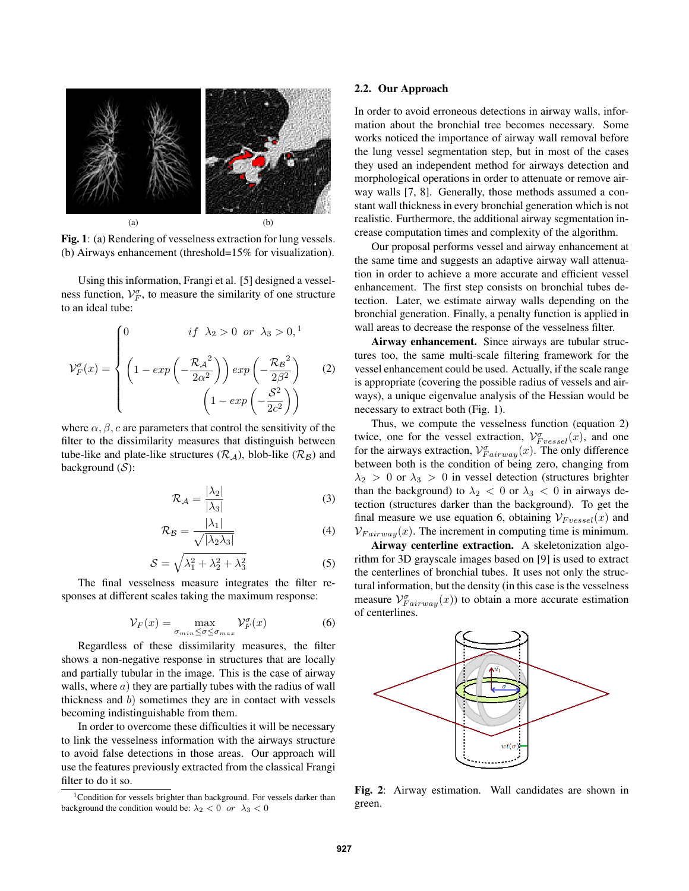

Fig. 1: (a) Rendering of vesselness extraction for lung vessels. (b) Airways enhancement (threshold=15% for visualization).

Using this information, Frangi et al. [5] designed a vesselness function,  $V_F^{\sigma}$ , to measure the similarity of one structure to an ideal tube:

$$
\mathcal{V}_F^{\sigma}(x) = \begin{cases} 0 & \text{if } \lambda_2 > 0 \text{ or } \lambda_3 > 0, 1 \\ \left(1 - \exp\left(-\frac{\mathcal{R}_A^2}{2\alpha^2}\right)\right) \exp\left(-\frac{\mathcal{R}_B^2}{2\beta^2}\right) & (2) \\ \left(1 - \exp\left(-\frac{\mathcal{S}^2}{2c^2}\right)\right) & \end{cases}
$$

where  $\alpha$ ,  $\beta$ , c are parameters that control the sensitivity of the filter to the dissimilarity measures that distinguish between tube-like and plate-like structures  $(\mathcal{R}_A)$ , blob-like  $(\mathcal{R}_B)$  and background  $(S)$ :

$$
\mathcal{R}_{\mathcal{A}} = \frac{|\lambda_2|}{|\lambda_3|} \tag{3}
$$

$$
\mathcal{R}_{\mathcal{B}} = \frac{|\lambda_1|}{\sqrt{|\lambda_2 \lambda_3|}}\tag{4}
$$

$$
S = \sqrt{\lambda_1^2 + \lambda_2^2 + \lambda_3^2}
$$
 (5)

The final vesselness measure integrates the filter responses at different scales taking the maximum response:

$$
\mathcal{V}_F(x) = \max_{\sigma_{min} \le \sigma \le \sigma_{max}} \mathcal{V}_F^{\sigma}(x)
$$
 (6)

Regardless of these dissimilarity measures, the filter shows a non-negative response in structures that are locally and partially tubular in the image. This is the case of airway walls, where  $a)$  they are partially tubes with the radius of wall thickness and  $b$ ) sometimes they are in contact with vessels becoming indistinguishable from them.

In order to overcome these difficulties it will be necessary to link the vesselness information with the airways structure to avoid false detections in those areas. Our approach will use the features previously extracted from the classical Frangi filter to do it so.

#### 2.2. Our Approach

In order to avoid erroneous detections in airway walls, information about the bronchial tree becomes necessary. Some works noticed the importance of airway wall removal before the lung vessel segmentation step, but in most of the cases they used an independent method for airways detection and morphological operations in order to attenuate or remove airway walls [7, 8]. Generally, those methods assumed a constant wall thickness in every bronchial generation which is not realistic. Furthermore, the additional airway segmentation increase computation times and complexity of the algorithm.

Our proposal performs vessel and airway enhancement at the same time and suggests an adaptive airway wall attenuation in order to achieve a more accurate and efficient vessel enhancement. The first step consists on bronchial tubes detection. Later, we estimate airway walls depending on the bronchial generation. Finally, a penalty function is applied in wall areas to decrease the response of the vesselness filter.

Airway enhancement. Since airways are tubular structures too, the same multi-scale filtering framework for the vessel enhancement could be used. Actually, if the scale range is appropriate (covering the possible radius of vessels and airways), a unique eigenvalue analysis of the Hessian would be necessary to extract both (Fig. 1).

Thus, we compute the vesselness function (equation 2) twice, one for the vessel extraction,  $\mathcal{V}_{Fvessel}^{\sigma}(x)$ , and one for the airways extraction,  $\mathcal{V}_{Fairway}^{\sigma}(x)$ . The only difference between both is the condition of being zero, changing from  $\lambda_2 > 0$  or  $\lambda_3 > 0$  in vessel detection (structures brighter than the background) to  $\lambda_2 < 0$  or  $\lambda_3 < 0$  in airways detection (structures darker than the background). To get the final measure we use equation 6, obtaining  $V_{Fvessel}(x)$  and  $V_{Fairway}(x)$ . The increment in computing time is minimum.

Airway centerline extraction. A skeletonization algorithm for 3D grayscale images based on [9] is used to extract the centerlines of bronchial tubes. It uses not only the structural information, but the density (in this case is the vesselness measure  $V_{Fairway}^{\sigma}(x)$  to obtain a more accurate estimation of centerlines.



Fig. 2: Airway estimation. Wall candidates are shown in green.

 $1$ Condition for vessels brighter than background. For vessels darker than background the condition would be:  $\lambda_2 < 0$  or  $\lambda_3 < 0$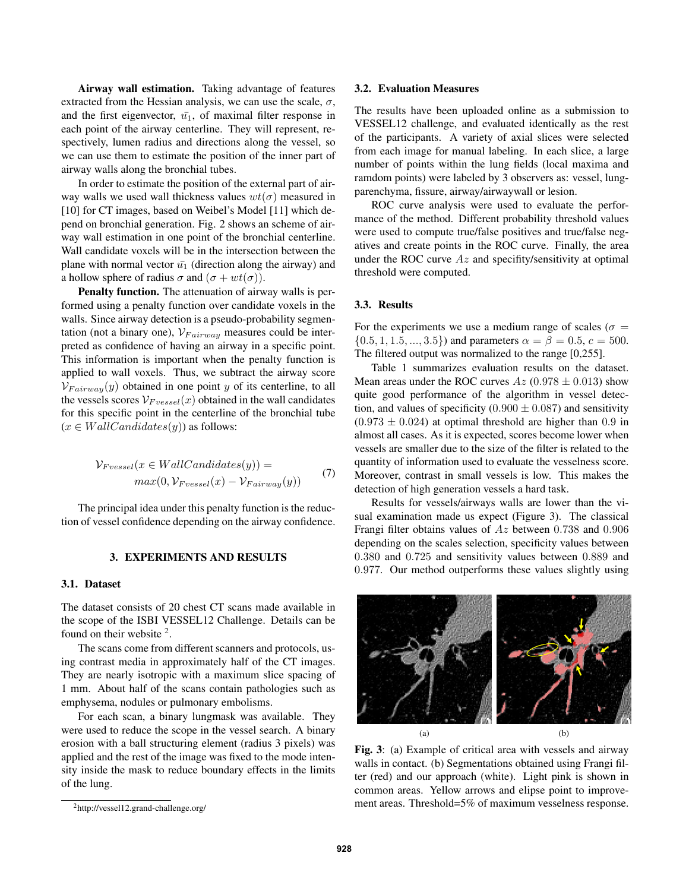Airway wall estimation. Taking advantage of features extracted from the Hessian analysis, we can use the scale,  $\sigma$ , and the first eigenvector,  $\bar{u_1}$ , of maximal filter response in each point of the airway centerline. They will represent, respectively, lumen radius and directions along the vessel, so we can use them to estimate the position of the inner part of airway walls along the bronchial tubes.

In order to estimate the position of the external part of airway walls we used wall thickness values  $wt(\sigma)$  measured in [10] for CT images, based on Weibel's Model [11] which depend on bronchial generation. Fig. 2 shows an scheme of airway wall estimation in one point of the bronchial centerline. Wall candidate voxels will be in the intersection between the plane with normal vector  $\bar{u_1}$  (direction along the airway) and a hollow sphere of radius  $\sigma$  and  $(\sigma + wt(\sigma))$ .

Penalty function. The attenuation of airway walls is performed using a penalty function over candidate voxels in the walls. Since airway detection is a pseudo-probability segmentation (not a binary one),  $V_{Fairway}$  measures could be interpreted as confidence of having an airway in a specific point. This information is important when the penalty function is applied to wall voxels. Thus, we subtract the airway score  $V_{Fairway}(y)$  obtained in one point y of its centerline, to all the vessels scores  $V_{Fvessel}(x)$  obtained in the wall candidates for this specific point in the centerline of the bronchial tube  $(x \in WallC and idates(y))$  as follows:

$$
\mathcal{V}_{Fvessel}(x \in WallC andidates(y)) = \max(0, \mathcal{V}_{Fvessel}(x) - \mathcal{V}_{Fairway}(y))
$$
\n(7)

The principal idea under this penalty function is the reduction of vessel confidence depending on the airway confidence.

#### 3. EXPERIMENTS AND RESULTS

#### 3.1. Dataset

The dataset consists of 20 chest CT scans made available in the scope of the ISBI VESSEL12 Challenge. Details can be found on their website <sup>2</sup>.

The scans come from different scanners and protocols, using contrast media in approximately half of the CT images. They are nearly isotropic with a maximum slice spacing of 1 mm. About half of the scans contain pathologies such as emphysema, nodules or pulmonary embolisms.

For each scan, a binary lungmask was available. They were used to reduce the scope in the vessel search. A binary erosion with a ball structuring element (radius 3 pixels) was applied and the rest of the image was fixed to the mode intensity inside the mask to reduce boundary effects in the limits of the lung.

#### 3.2. Evaluation Measures

The results have been uploaded online as a submission to VESSEL12 challenge, and evaluated identically as the rest of the participants. A variety of axial slices were selected from each image for manual labeling. In each slice, a large number of points within the lung fields (local maxima and ramdom points) were labeled by 3 observers as: vessel, lungparenchyma, fissure, airway/airwaywall or lesion.

ROC curve analysis were used to evaluate the performance of the method. Different probability threshold values were used to compute true/false positives and true/false negatives and create points in the ROC curve. Finally, the area under the ROC curve  $Az$  and specifity/sensitivity at optimal threshold were computed.

## 3.3. Results

For the experiments we use a medium range of scales ( $\sigma$  =  $\{0.5, 1, 1.5, ..., 3.5\}$  and parameters  $\alpha = \beta = 0.5, c = 500$ . The filtered output was normalized to the range [0,255].

Table 1 summarizes evaluation results on the dataset. Mean areas under the ROC curves  $Az$  (0.978  $\pm$  0.013) show quite good performance of the algorithm in vessel detection, and values of specificity (0.900  $\pm$  0.087) and sensitivity  $(0.973 \pm 0.024)$  at optimal threshold are higher than 0.9 in almost all cases. As it is expected, scores become lower when vessels are smaller due to the size of the filter is related to the quantity of information used to evaluate the vesselness score. Moreover, contrast in small vessels is low. This makes the detection of high generation vessels a hard task.

Results for vessels/airways walls are lower than the visual examination made us expect (Figure 3). The classical Frangi filter obtains values of Az between 0.738 and 0.906 depending on the scales selection, specificity values between 0.380 and 0.725 and sensitivity values between 0.889 and 0.977. Our method outperforms these values slightly using



Fig. 3: (a) Example of critical area with vessels and airway walls in contact. (b) Segmentations obtained using Frangi filter (red) and our approach (white). Light pink is shown in common areas. Yellow arrows and elipse point to improvement areas. Threshold=5% of maximum vesselness response.

<sup>2</sup>http://vessel12.grand-challenge.org/